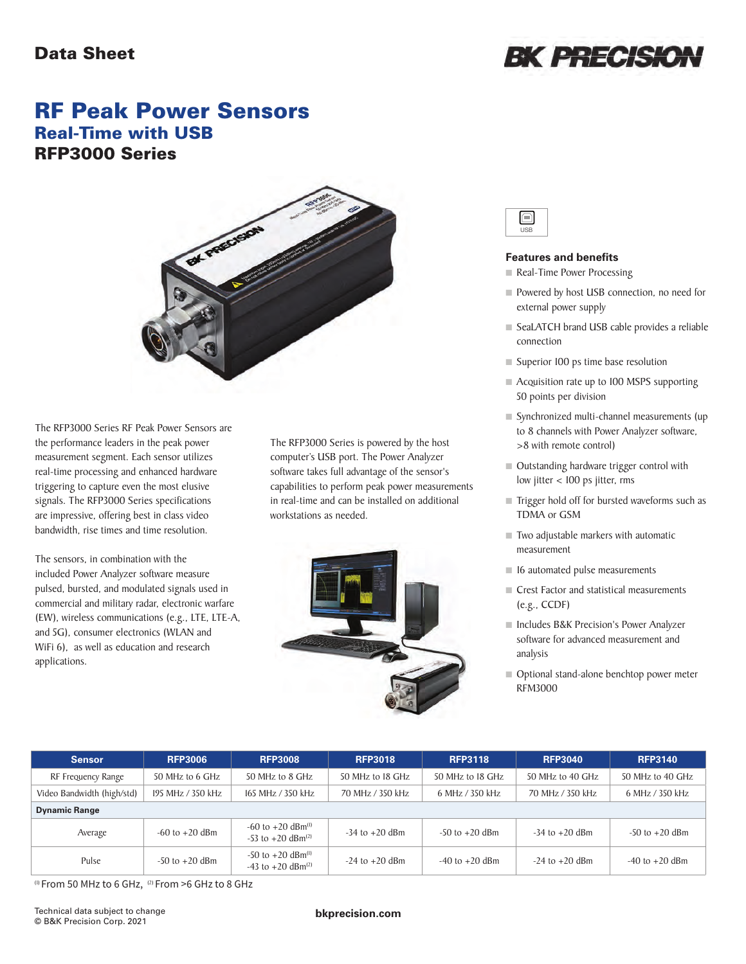### Data Sheet



## RF Peak Power Sensors Real-Time with USB RFP3000 Series



The RFP3000 Series RF Peak Power Sensors are the performance leaders in the peak power measurement segment. Each sensor utilizes real-time processing and enhanced hardware triggering to capture even the most elusive signals. The RFP3000 Series specifications are impressive, offering best in class video bandwidth, rise times and time resolution.

The sensors, in combination with the included Power Analyzer software measure pulsed, bursted, and modulated signals used in commercial and military radar, electronic warfare (EW), wireless communications (e.g., LTE, LTE-A, and 5G), consumer electronics (WLAN and WiFi 6), as well as education and research applications.

The RFP3000 Series is powered by the host computer's USB port. The Power Analyzer software takes full advantage of the sensor's capabilities to perform peak power measurements in real-time and can be installed on additional workstations as needed.



#### **Features and benefits**

- Real-Time Power Processing
- Powered by host USB connection, no need for external power supply
- SeaLATCH brand USB cable provides a reliable connection
- Superior 100 ps time base resolution
- Acquisition rate up to 100 MSPS supporting 50 points per division
- Synchronized multi-channel measurements (up to 8 channels with Power Analyzer software, >8 with remote control)
- Outstanding hardware trigger control with low jitter < 100 ps jitter, rms
- Trigger hold off for bursted waveforms such as TDMA or GSM
- $\blacksquare$  Two adjustable markers with automatic measurement
- 16 automated pulse measurements
- Crest Factor and statistical measurements (e.g., CCDF)
- Includes B&K Precision's Power Analyzer software for advanced measurement and analysis
- Optional stand-alone benchtop power meter RFM3000

| <b>Sensor</b>              | <b>RFP3006</b>     | <b>RFP3008</b>                                                         | <b>RFP3018</b>     | <b>RFP3118</b>     | <b>RFP3040</b>     | <b>RFP3140</b>     |
|----------------------------|--------------------|------------------------------------------------------------------------|--------------------|--------------------|--------------------|--------------------|
| RF Frequency Range         | 50 MHz to 6 GHz    | 50 MHz to 8 GHz                                                        | 50 MHz to 18 GHz   | 50 MHz to 18 GHz   | 50 MHz to 40 GHz   | 50 MHz to 40 GHz   |
| Video Bandwidth (high/std) | 195 MHz / 350 kHz  | 165 MHz / 350 kHz                                                      | 70 MHz / 350 kHz   | 6 MHz / 350 kHz    | 70 MHz / 350 kHz   | 6 MHz / 350 kHz    |
| <b>Dynamic Range</b>       |                    |                                                                        |                    |                    |                    |                    |
| Average                    | $-60$ to $+20$ dBm | $-60$ to $+20$ dBm <sup>(l)</sup><br>$-53$ to $+20$ dBm <sup>(2)</sup> | $-34$ to $+20$ dBm | $-50$ to $+20$ dBm | $-34$ to $+20$ dBm | $-50$ to $+20$ dBm |
| Pulse                      | $-50$ to $+20$ dBm | $-50$ to $+20$ dBm <sup>(l)</sup><br>$-43$ to $+20$ dBm <sup>(2)</sup> | $-24$ to $+20$ dBm | $-40$ to $+20$ dBm | $-24$ to $+20$ dBm | $-40$ to $+20$ dBm |

(1) From 50 MHz to 6 GHz, (2) From >6 GHz to 8 GHz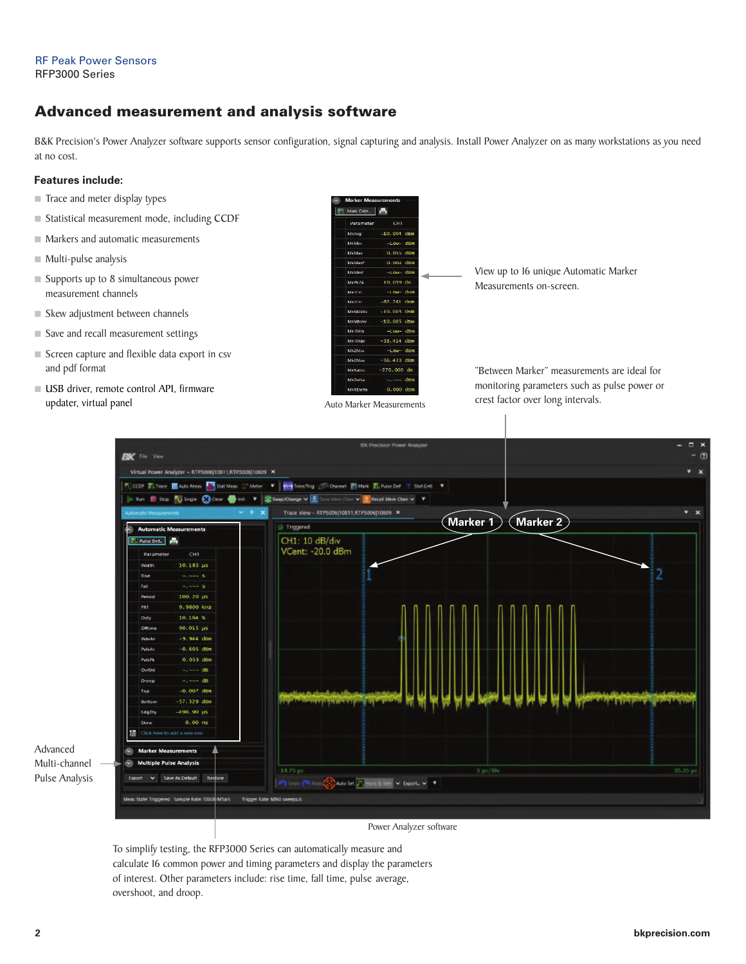#### RF Peak Power Sensors RFP3000 Series

### Advanced measurement and analysis software

B&K Precision's Power Analyzer software supports sensor configuration, signal capturing and analysis. Install Power Analyzer on as many workstations as you need at no cost.

#### **Features include:**

- $\blacksquare$  Trace and meter display types
- Statistical measurement mode, including CCDF
- $\blacksquare$  Markers and automatic measurements
- $\blacksquare$  Multi-pulse analysis
- $\blacksquare$  Supports up to 8 simultaneous power measurement channels
- $\blacksquare$  Skew adjustment between channels
- $\blacksquare$  Save and recall measurement settings
- $\blacksquare$  Screen capture and flexible data export in csv and pdf format
- USB driver, remote control API, firmware updater, virtual panel

| Mark Cntrl. |                                          |
|-------------|------------------------------------------|
| Parameter   | <b>CHT</b>                               |
| MkAvg       | $-10,004$ dBm                            |
| MkMin       | $-LOW$ dBm                               |
| MkMax       | $0.055$ dBm                              |
| MkMaxF      | $0.002$ dBm                              |
| MkMinE      | $-Low$ dBm                               |
| MkPk2A      | 10.059 dB                                |
| Mk11 vI     | $-1$ $\alpha w$ $\alpha$ $\beta$ $\beta$ |
| MK2LVL      | $-62.261$ d <sub>Km</sub>                |
|             | MkMaxAy -10.003 dKm                      |
| MkMlnAv     | $-10.005$ dBm                            |
| Mk I Min    | $-Low - dBm$                             |
| Mk IMax     | $-38,414$ dBm                            |
| Mk2Min      | $-Low - dBm$                             |
| Mk2Max      | $-36.433$ dBm                            |
| MkRalio     | $-270.000$ dB                            |
| MkDella     | $-,---$ dBm                              |
| MkRDelta    | $0.000$ dBm                              |

View up to 16 unique Automatic Marker Measurements on-screen.

"Between Marker" measurements are ideal for monitoring parameters such as pulse power or crest factor over long intervals.



Power Analyzer software

To simplify testing, the RFP3000 Series can automatically measure and calculate 16 common power and timing parameters and display the parameters of interest. Other parameters include: rise time, fall time, pulse average, overshoot, and droop.

Advanced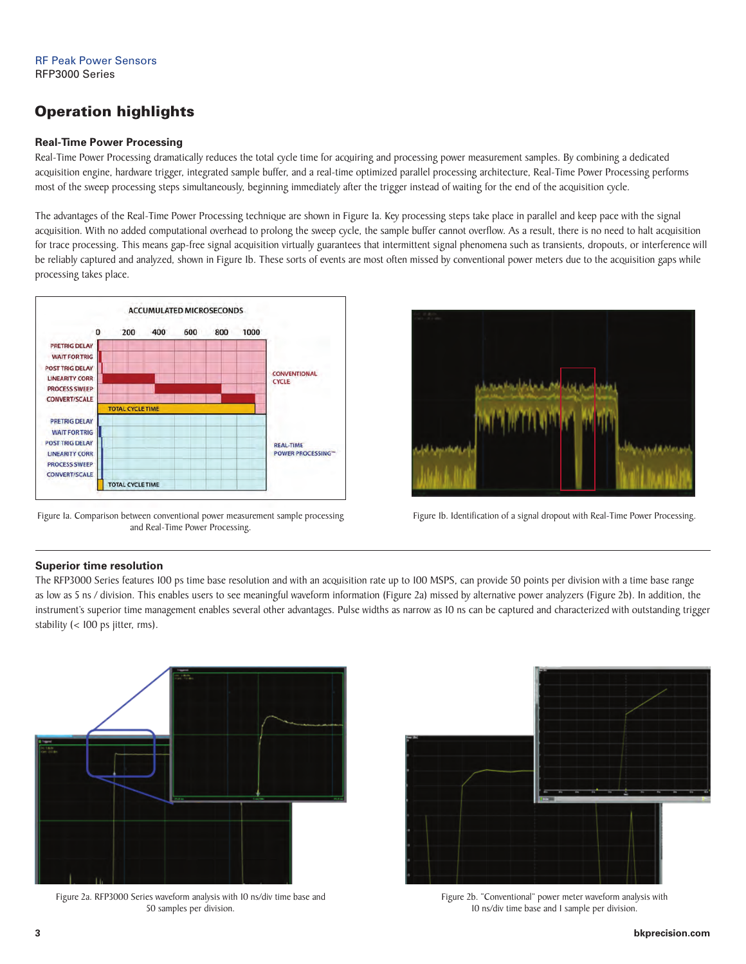### Operation highlights

#### **Real-Time Power Processing**

Real-Time Power Processing dramatically reduces the total cycle time for acquiring and processing power measurement samples. By combining a dedicated acquisition engine, hardware trigger, integrated sample buffer, and a real-time optimized parallel processing architecture, Real-Time Power Processing performs most of the sweep processing steps simultaneously, beginning immediately after the trigger instead of waiting for the end of the acquisition cycle.

The advantages of the Real-Time Power Processing technique are shown in Figure 1a. Key processing steps take place in parallel and keep pace with the signal acquisition. With no added computational overhead to prolong the sweep cycle, the sample buffer cannot overflow. As a result, there is no need to halt acquisition for trace processing. This means gap-free signal acquisition virtually guarantees that intermittent signal phenomena such as transients, dropouts, or interference will be reliably captured and analyzed, shown in Figure 1b. These sorts of events are most often missed by conventional power meters due to the acquisition gaps while processing takes place.



Figure Ia. Comparison between conventional power measurement sample processing and Real-Time Power Processing.



Figure 1b. Identification of a signal dropout with Real-Time Power Processing.

#### **Superior time resolution**

The RFP3000 Series features 100 ps time base resolution and with an acquisition rate up to 100 MSPS, can provide 50 points per division with a time base range as low as 5 ns / division. This enables users to see meaningful waveform information (Figure 2a) missed by alternative power analyzers (Figure 2b). In addition, the instrument's superior time management enables several other advantages. Pulse widths as narrow as 10 ns can be captured and characterized with outstanding trigger stability (< 100 ps jitter, rms).



Figure 2a. RFP3000 Series waveform analysis with 10 ns/div time base and 50 samples per division.



Figure 2b. "Conventional" power meter waveform analysis with 10 ns/div time base and 1 sample per division.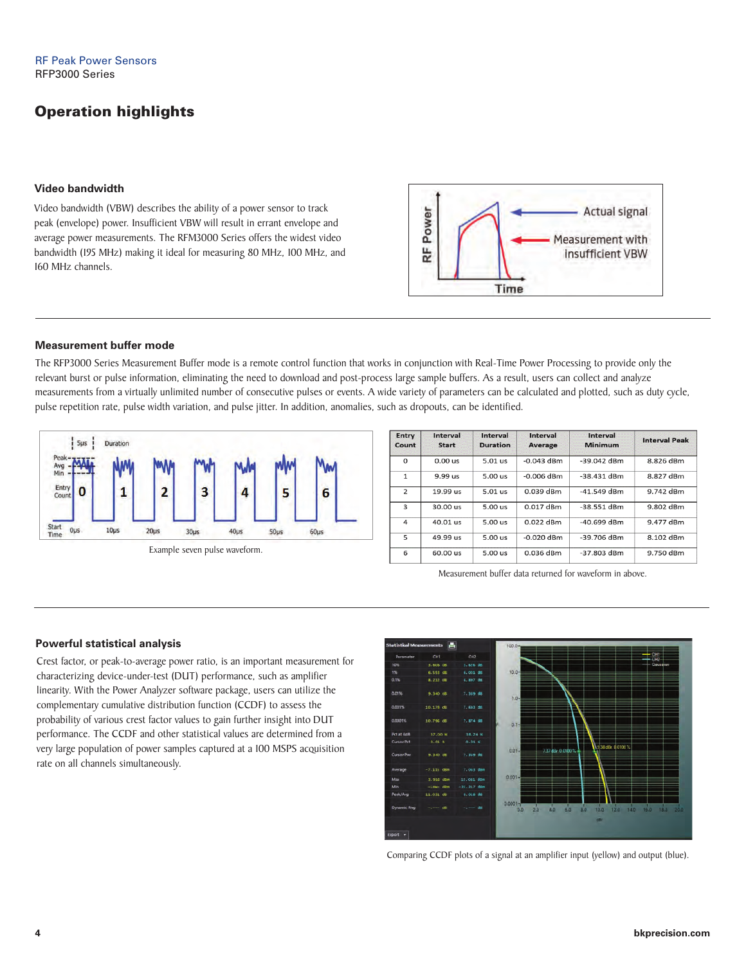### Operation highlights

#### **Video bandwidth**

Video bandwidth (VBW) describes the ability of a power sensor to track peak (envelope) power. Insufficient VBW will result in errant envelope and average power measurements. The RFM3000 Series offers the widest video bandwidth (195 MHz) making it ideal for measuring 80 MHz, 100 MHz, and 160 MHz channels.



#### **Measurement buffer mode**

The RFP3000 Series Measurement Buffer mode is a remote control function that works in conjunction with Real-Time Power Processing to provide only the relevant burst or pulse information, eliminating the need to download and post-process large sample buffers. As a result, users can collect and analyze measurements from a virtually unlimited number of consecutive pulses or events. A wide variety of parameters can be calculated and plotted, such as duty cycle, pulse repetition rate, pulse width variation, and pulse jitter. In addition, anomalies, such as dropouts, can be identified.



| <b>Entry</b><br>Count | Interval<br><b>Start</b> | Interval<br><b>Duration</b> | Interval<br>Average | Interval<br>Minimum | <b>Interval Peak</b> |
|-----------------------|--------------------------|-----------------------------|---------------------|---------------------|----------------------|
| $\Omega$              | 0.00 us                  | 5.01 us                     | $-0.043$ dBm        | $-39.042$ dBm       | 8.826 dBm            |
| $\mathbf{1}$          | $9.99$ us                | $5.00$ us                   | $-0.006$ dBm        | $-38.431$ dBm       | 8.827 dBm            |
| 2                     | 19.99 us                 | 5.01 us                     | 0.039 dBm           | $-41.549$ dBm       | 9.742 dBm            |
| 3                     | 30.00 us                 | $5.00$ us                   | $0.017$ dBm         | $-38.551$ dBm       | 9.802 dBm            |
| 4                     | 40.01 us                 | $5.00$ us                   | $0.022$ dBm         | $-40.699$ dBm       | 9.477 dBm            |
| 5                     | 49.99 us                 | $5.00$ us                   | $-0.020$ dBm        | $-39.706$ dBm       | 8.102 dBm            |
| 6                     | 60.00 us                 | 5.00 us                     | 0.036 dBm           | $-37.803$ dBm       | 9.750 dBm            |

Measurement buffer data returned for waveform in above.

#### **Powerful statistical analysis**

Crest factor, or peak-to-average power ratio, is an important measurement for characterizing device-under-test (DUT) performance, such as amplifier linearity. With the Power Analyzer software package, users can utilize the complementary cumulative distribution function (CCDF) to assess the probability of various crest factor values to gain further insight into DUT performance. The CCDF and other statistical values are determined from a very large population of power samples captured at a 100 MSPS acquisition rate on all channels simultaneously.



Comparing CCDF plots of a signal at an amplifier input (yellow) and output (blue).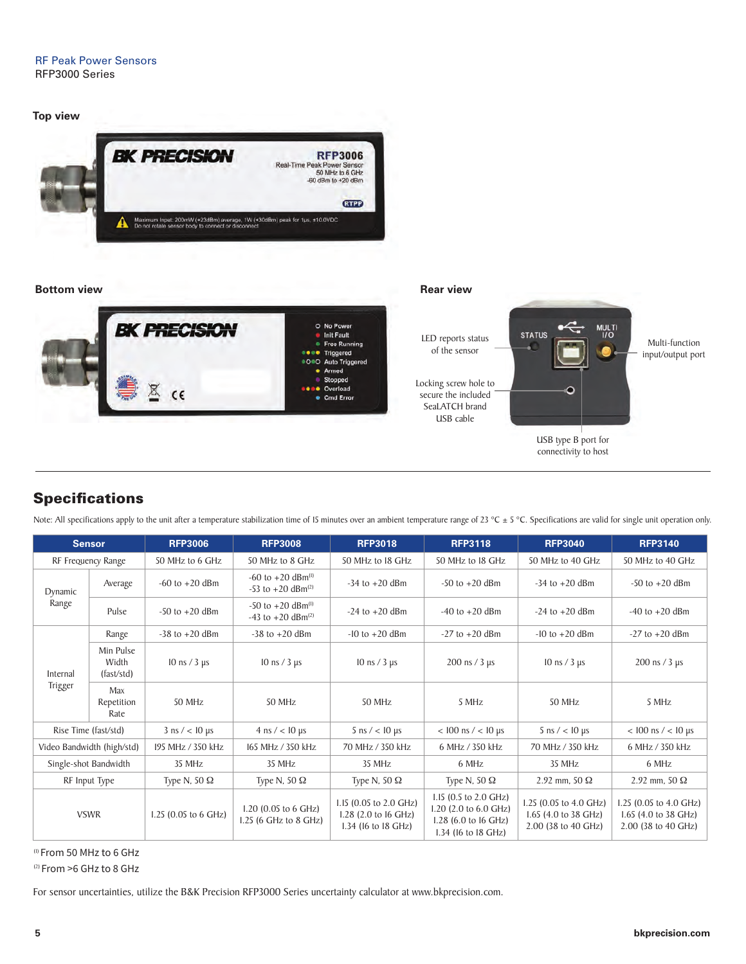

#### **Bottom view Rear view Rear view Rear view Rear view**



LED reports status of the sensor

Locking screw hole to secure the included SeaLATCH brand USB cable



Multi-function input/output port

USB type B port for connectivity to host

### **Specifications**

Note: All specifications apply to the unit after a temperature stabilization time of 15 minutes over an ambient temperature range of 23 °C  $\pm$  5 °C. Specifications are valid for single unit operation only.

| <b>Sensor</b>              |                                  | <b>RFP3006</b>                 | <b>RFP3008</b>                                                       | <b>RFP3018</b>                                                        | <b>RFP3118</b>                                                                                | <b>RFP3040</b>                                                        | <b>RFP3140</b>                                                        |
|----------------------------|----------------------------------|--------------------------------|----------------------------------------------------------------------|-----------------------------------------------------------------------|-----------------------------------------------------------------------------------------------|-----------------------------------------------------------------------|-----------------------------------------------------------------------|
| RF Frequency Range         |                                  | 50 MHz to 6 GHz                | 50 MHz to 8 GHz                                                      | 50 MHz to 18 GHz                                                      | 50 MHz to 18 GHz                                                                              | 50 MHz to 40 GHz                                                      | 50 MHz to 40 GHz                                                      |
| Dynamic<br>Range           | Average                          | $-60$ to $+20$ dBm             | $-60$ to $+20$ dBm <sup>(1)</sup><br>-53 to $+20$ dBm <sup>(2)</sup> | $-34$ to $+20$ dBm                                                    | $-50$ to $+20$ dBm                                                                            | $-34$ to $+20$ dBm                                                    | $-50$ to $+20$ dBm                                                    |
|                            | Pulse                            | $-50$ to $+20$ dBm             | $-50$ to $+20$ dBm <sup>(l)</sup><br>-43 to +20 dBm <sup>(2)</sup>   | $-24$ to $+20$ dBm                                                    | $-40$ to $+20$ dBm                                                                            | $-24$ to $+20$ dBm                                                    | $-40$ to $+20$ dBm                                                    |
|                            | Range                            | $-38$ to $+20$ dBm             | $-38$ to $+20$ dBm                                                   | $-10$ to $+20$ dBm                                                    | $-27$ to $+20$ dBm                                                                            | $-10$ to $+20$ dBm                                                    | $-27$ to $+20$ dBm                                                    |
| Internal<br>Trigger        | Min Pulse<br>Width<br>(fast/std) | $10 \text{ ns} / 3 \text{ µs}$ | $10 \text{ ns} / 3 \mu s$                                            | $10 \text{ ns} / 3 \text{ µs}$                                        | $200 \text{ ns} / 3 \text{ µs}$                                                               | $10 \text{ ns} / 3 \text{ µs}$                                        | $200 \text{ ns} / 3 \text{ µs}$                                       |
|                            | Max<br>Repetition<br>Rate        | 50 MHz                         | 50 MHz                                                               | 50 MHz                                                                | 5 MHz                                                                                         | 50 MHz                                                                | 5 MHz                                                                 |
| Rise Time (fast/std)       |                                  | $3 \text{ ns}$ / < 10 $\mu$ s  | $4 \text{ ns}$ / < 10 µs                                             | $5 \text{ ns}$ / < 10 $\mu$ s                                         | $<$ 100 ns $/$ $<$ 10 µs                                                                      | $5 \text{ ns}$ / < 10 µs                                              | $< 100$ ns $/ < 10$ µs                                                |
| Video Bandwidth (high/std) |                                  | 195 MHz / 350 kHz              | 165 MHz / 350 kHz                                                    | 70 MHz / 350 kHz<br>6 MHz / 350 kHz<br>70 MHz / 350 kHz               |                                                                                               |                                                                       | 6 MHz / 350 kHz                                                       |
| Single-shot Bandwidth      |                                  | 35 MHz                         | 35 MHz                                                               | 35 MHz                                                                | 6 MHz                                                                                         | 35 MHz                                                                | 6 MHz                                                                 |
| RF Input Type              |                                  | Type N, 50 $\Omega$            | Type N, 50 $\Omega$                                                  | Type N, 50 $\Omega$                                                   | Type N, 50 $\Omega$                                                                           | 2.92 mm, 50 $\Omega$                                                  | 2.92 mm, 50 $\Omega$                                                  |
| <b>VSWR</b>                |                                  | 1.25 (0.05 to 6 GHz)           | 1.20 $(0.05$ to 6 GHz)<br>1.25 (6 GHz to 8 GHz)                      | 1.15 (0.05 to 2.0 GHz)<br>1.28 (2.0 to 16 GHz)<br>1.34 (16 to 18 GHz) | I.15 (0.5 to 2.0 GHz)<br>1.20 (2.0 to 6.0 GHz)<br>1.28 (6.0 to 16 GHz)<br>1.34 (16 to 18 GHz) | 1.25 (0.05 to 4.0 GHz)<br>1.65 (4.0 to 38 GHz)<br>2.00 (38 to 40 GHz) | 1.25 (0.05 to 4.0 GHz)<br>1.65 (4.0 to 38 GHz)<br>2.00 (38 to 40 GHz) |

(1) From 50 MHz to 6 GHz

(2) From >6 GHz to 8 GHz

For sensor uncertainties, utilize the B&K Precision RFP3000 Series uncertainty calculator at www.bkprecision.com.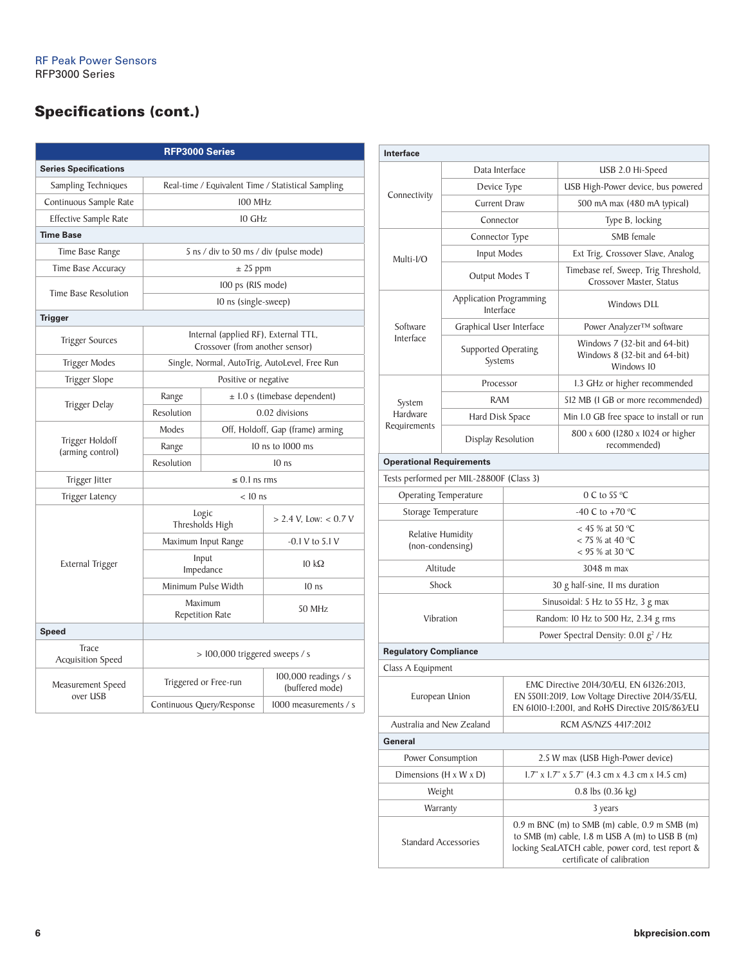# Specifications (cont.)

| RFP3000 Series                      |                                                    |                                                                         |                                               |  |  |
|-------------------------------------|----------------------------------------------------|-------------------------------------------------------------------------|-----------------------------------------------|--|--|
| <b>Series Specifications</b>        |                                                    |                                                                         |                                               |  |  |
| Sampling Techniques                 | Real-time / Equivalent Time / Statistical Sampling |                                                                         |                                               |  |  |
| Continuous Sample Rate              | 100 MHz                                            |                                                                         |                                               |  |  |
| Effective Sample Rate               |                                                    | 10 GHz                                                                  |                                               |  |  |
| <b>Time Base</b>                    |                                                    |                                                                         |                                               |  |  |
| Time Base Range                     | 5 ns / div to 50 ms / div (pulse mode)             |                                                                         |                                               |  |  |
| Time Base Accuracy                  |                                                    | $± 25$ ppm                                                              |                                               |  |  |
|                                     | 100 ps (RIS mode)                                  |                                                                         |                                               |  |  |
| Time Base Resolution                |                                                    | 10 ns (single-sweep)                                                    |                                               |  |  |
| <b>Trigger</b>                      |                                                    |                                                                         |                                               |  |  |
| <b>Trigger Sources</b>              |                                                    | Internal (applied RF), External TTL,<br>Crossover (from another sensor) |                                               |  |  |
| Trigger Modes                       |                                                    |                                                                         | Single, Normal, AutoTrig, AutoLevel, Free Run |  |  |
| Trigger Slope                       |                                                    | Positive or negative                                                    |                                               |  |  |
|                                     | Range                                              | $\pm$ 1.0 s (timebase dependent)                                        |                                               |  |  |
| Trigger Delay                       | Resolution                                         | 0.02 divisions                                                          |                                               |  |  |
|                                     | Modes                                              | Off, Holdoff, Gap (frame) arming                                        |                                               |  |  |
| Trigger Holdoff<br>(arming control) | Range                                              | 10 ns to 1000 ms                                                        |                                               |  |  |
|                                     | Resolution                                         |                                                                         | $10$ ns                                       |  |  |
| Trigger Jitter                      | $\leq$ 0.1 ns rms                                  |                                                                         |                                               |  |  |
| Trigger Latency                     |                                                    | $< 10$ ns                                                               |                                               |  |  |
|                                     | Logic<br>Thresholds High                           |                                                                         | $> 2.4$ V, Low: < 0.7 V                       |  |  |
|                                     | Maximum Input Range                                |                                                                         | $-0.1 V$ to $5.1 V$                           |  |  |
| External Trigger                    |                                                    | Input<br>Impedance                                                      | $10 \text{ k}\Omega$                          |  |  |
|                                     |                                                    | Minimum Pulse Width                                                     | 10 <sub>ns</sub>                              |  |  |
|                                     | Maximum<br><b>Repetition Rate</b>                  |                                                                         | 50 MHz                                        |  |  |
| Speed                               |                                                    |                                                                         |                                               |  |  |
| Trace<br>Acquisition Speed          | > 100,000 triggered sweeps / s                     |                                                                         |                                               |  |  |
| Measurement Speed<br>over USB       | Triggered or Free-run                              |                                                                         | 100,000 readings / s<br>(buffered mode)       |  |  |
|                                     |                                                    | Continuous Query/Response                                               | $1000$ measurements / s                       |  |  |

| Interface                                |                                      |                                                                                                                                                                                        |                                                                              |  |
|------------------------------------------|--------------------------------------|----------------------------------------------------------------------------------------------------------------------------------------------------------------------------------------|------------------------------------------------------------------------------|--|
| Data Interface                           |                                      |                                                                                                                                                                                        | USB 2.0 Hi-Speed                                                             |  |
|                                          | Device Type                          |                                                                                                                                                                                        | USB High-Power device, bus powered                                           |  |
| Connectivity                             | <b>Current Draw</b>                  |                                                                                                                                                                                        | 500 mA max (480 mA typical)                                                  |  |
|                                          | Connector                            |                                                                                                                                                                                        | Type B, locking                                                              |  |
|                                          | Connector Type                       |                                                                                                                                                                                        | SMB female                                                                   |  |
| Multi-I/O                                | Input Modes                          |                                                                                                                                                                                        | Ext Trig, Crossover Slave, Analog                                            |  |
|                                          | Output Modes T                       |                                                                                                                                                                                        | Timebase ref, Sweep, Trig Threshold,<br>Crossover Master, Status             |  |
|                                          | Application Programming<br>Interface |                                                                                                                                                                                        | <b>Windows DLL</b>                                                           |  |
| Software                                 | Graphical User Interface             |                                                                                                                                                                                        | Power Analyzer™ software                                                     |  |
| Interface                                | Supported Operating<br>Systems       |                                                                                                                                                                                        | Windows 7 (32-bit and 64-bit)<br>Windows 8 (32-bit and 64-bit)<br>Windows 10 |  |
|                                          | Processor                            |                                                                                                                                                                                        | 1.3 GHz or higher recommended                                                |  |
| System                                   | <b>RAM</b>                           |                                                                                                                                                                                        | 512 MB (I GB or more recommended)                                            |  |
| Hardware                                 | Hard Disk Space                      |                                                                                                                                                                                        | Min I.0 GB free space to install or run                                      |  |
| Requirements                             | Display Resolution                   |                                                                                                                                                                                        | 800 x 600 (1280 x 1024 or higher<br>recommended)                             |  |
| <b>Operational Requirements</b>          |                                      |                                                                                                                                                                                        |                                                                              |  |
| Tests performed per MIL-28800F (Class 3) |                                      |                                                                                                                                                                                        |                                                                              |  |
| <b>Operating Temperature</b>             |                                      |                                                                                                                                                                                        | 0 C to 55 $\mathrm{^{\circ}C}$                                               |  |
| Storage Temperature                      |                                      |                                                                                                                                                                                        | -40 C to +70 $^{\circ}$ C                                                    |  |
| Relative Humidity<br>(non-condensing)    |                                      | $<$ 45 % at 50 °C<br>$<$ 75 % at 40 °C<br>$<$ 95 % at 30 °C                                                                                                                            |                                                                              |  |
| Altitude                                 |                                      |                                                                                                                                                                                        | 3048 m max                                                                   |  |
| Shock                                    |                                      |                                                                                                                                                                                        | 30 g half-sine, II ms duration                                               |  |
|                                          |                                      |                                                                                                                                                                                        | Sinusoidal: 5 Hz to 55 Hz, 3 g max                                           |  |
| Vibration                                |                                      | Random: 10 Hz to 500 Hz, 2.34 g rms                                                                                                                                                    |                                                                              |  |
|                                          |                                      | Power Spectral Density: 0.01 g <sup>2</sup> / Hz                                                                                                                                       |                                                                              |  |
| <b>Regulatory Compliance</b>             |                                      |                                                                                                                                                                                        |                                                                              |  |
| Class A Equipment                        |                                      |                                                                                                                                                                                        |                                                                              |  |
| European Union                           |                                      | EMC Directive 2014/30/EU, EN 61326:2013,<br>EN 55011:2019, Low Voltage Directive 2014/35/EU,<br>EN 61010-1:2001, and RoHS Directive 2015/863/EU                                        |                                                                              |  |
| Australia and New Zealand                |                                      |                                                                                                                                                                                        | RCM AS/NZS 4417:2012                                                         |  |
| General                                  |                                      |                                                                                                                                                                                        |                                                                              |  |
| Power Consumption                        |                                      | 2.5 W max (USB High-Power device)                                                                                                                                                      |                                                                              |  |
| Dimensions $(H \times W \times D)$       |                                      | $1.7$ " x $1.7$ " x $5.7$ " (4.3 cm x 4.3 cm x 14.5 cm)                                                                                                                                |                                                                              |  |
| Weight                                   |                                      | $0.8$ lbs $(0.36$ kg)                                                                                                                                                                  |                                                                              |  |
| Warranty                                 |                                      | 3 years                                                                                                                                                                                |                                                                              |  |
| <b>Standard Accessories</b>              |                                      | $0.9$ m BNC (m) to SMB (m) cable, $0.9$ m SMB (m)<br>to SMB (m) cable, 1.8 m USB A (m) to USB B (m)<br>locking SeaLATCH cable, power cord, test report &<br>certificate of calibration |                                                                              |  |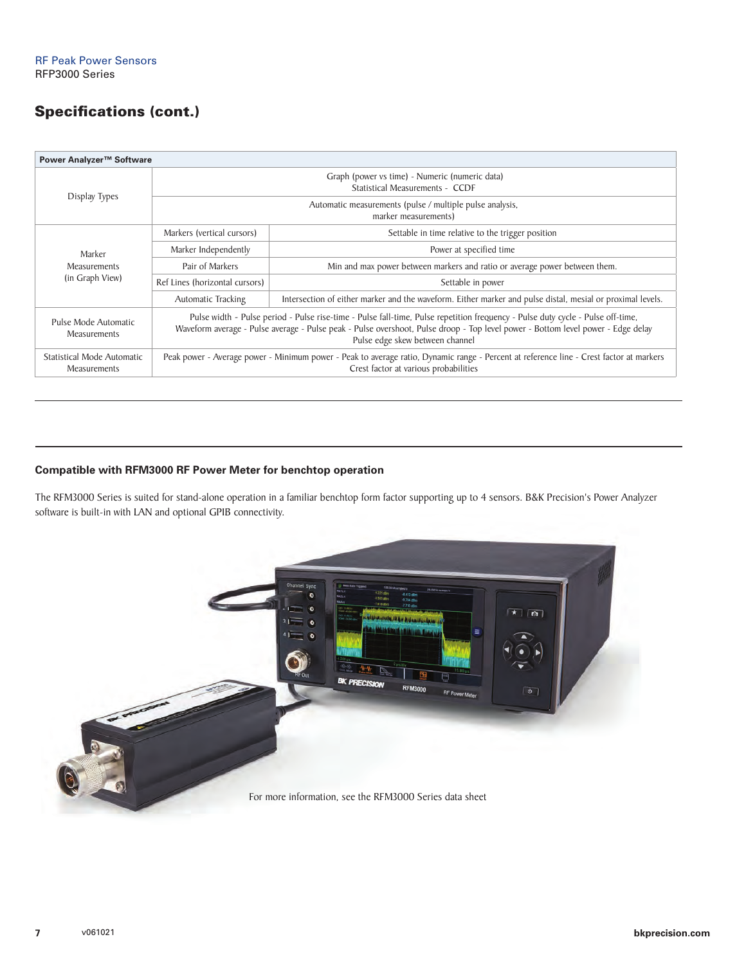### Specifications (cont.)

| Power Analyzer™ Software                          |                                                                                                                                                                                                                                                                                                        |                                                                                                            |  |  |  |
|---------------------------------------------------|--------------------------------------------------------------------------------------------------------------------------------------------------------------------------------------------------------------------------------------------------------------------------------------------------------|------------------------------------------------------------------------------------------------------------|--|--|--|
| Display Types                                     | Graph (power vs time) - Numeric (numeric data)<br>Statistical Measurements - CCDF                                                                                                                                                                                                                      |                                                                                                            |  |  |  |
|                                                   | Automatic measurements (pulse / multiple pulse analysis,<br>marker measurements)                                                                                                                                                                                                                       |                                                                                                            |  |  |  |
|                                                   | Markers (vertical cursors)<br>Settable in time relative to the trigger position                                                                                                                                                                                                                        |                                                                                                            |  |  |  |
| Marker                                            | Marker Independently<br>Power at specified time                                                                                                                                                                                                                                                        |                                                                                                            |  |  |  |
| <b>Measurements</b>                               | Min and max power between markers and ratio or average power between them.<br>Pair of Markers                                                                                                                                                                                                          |                                                                                                            |  |  |  |
| (in Graph View)                                   | Ref Lines (horizontal cursors)<br>Settable in power                                                                                                                                                                                                                                                    |                                                                                                            |  |  |  |
|                                                   | <b>Automatic Tracking</b>                                                                                                                                                                                                                                                                              | Intersection of either marker and the waveform. Either marker and pulse distal, mesial or proximal levels. |  |  |  |
| Pulse Mode Automatic<br><b>Measurements</b>       | Pulse width - Pulse period - Pulse rise-time - Pulse fall-time, Pulse repetition frequency - Pulse duty cycle - Pulse off-time,<br>Waveform average - Pulse average - Pulse peak - Pulse overshoot, Pulse droop - Top level power - Bottom level power - Edge delay<br>Pulse edge skew between channel |                                                                                                            |  |  |  |
| Statistical Mode Automatic<br><b>Measurements</b> | Peak power - Average power - Minimum power - Peak to average ratio, Dynamic range - Percent at reference line - Crest factor at markers<br>Crest factor at various probabilities                                                                                                                       |                                                                                                            |  |  |  |

### **Compatible with RFM3000 RF Power Meter for benchtop operation**

The RFM3000 Series is suited for stand-alone operation in a familiar benchtop form factor supporting up to 4 sensors. B&K Precision's Power Analyzer software is built-in with LAN and optional GPIB connectivity.